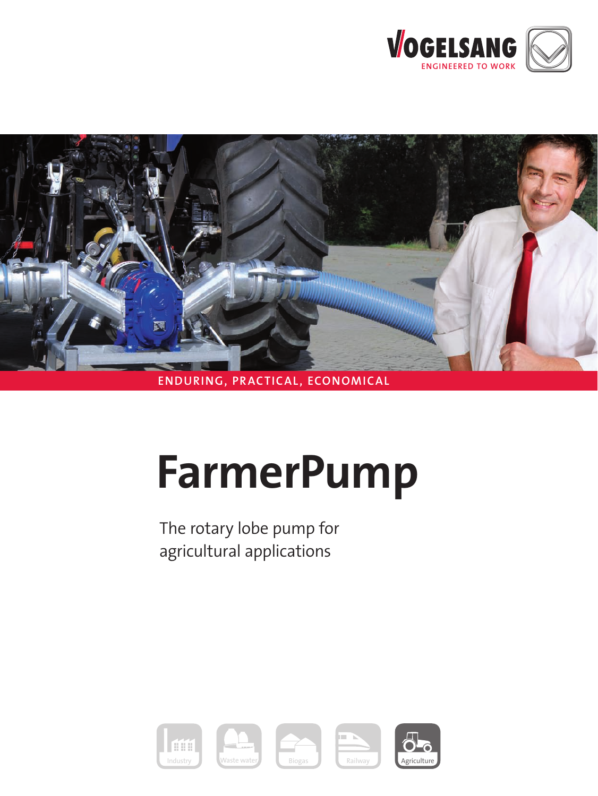



# **ENDURING, PRACTICAL, ECONOMICAL**

# **FarmerPump**

 The rotary lobe pump for agricultural applications

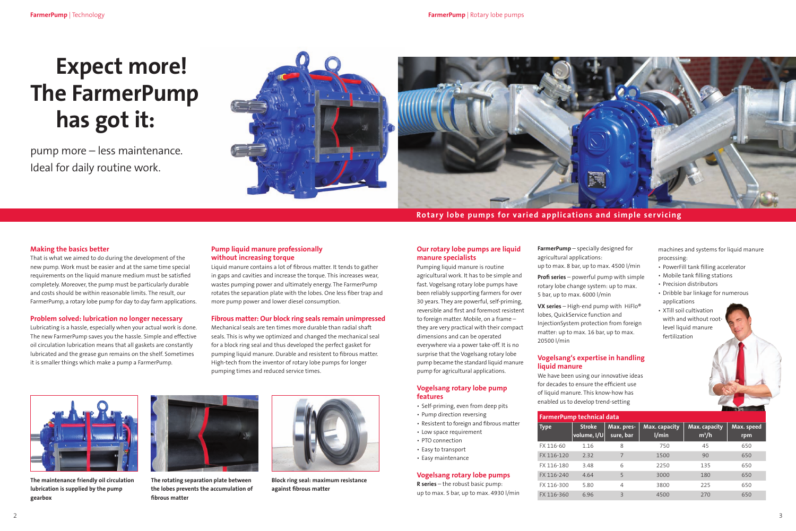pump more – less maintenance. Ideal for daily routine work.





# **Rotary lobe pumps for varied applications and simple servicing**

# **Expect more! The FarmerPump has got it:**



**The maintenance friendly oil circulation lubrication is supplied by the pump gearbox**



**The rotating separation plate between the lobes prevents the accumulation of fibrous matter**



**Block ring seal: maximum resistance against fibrous matter**

#### **Making the basics better**

That is what we aimed to do during the development of the new pump. Work must be easier and at the same time special requirements on the liquid manure medium must be satisfied completely. Moreover, the pump must be particularly durable and costs should be within reasonable limits. The result, our FarmerPump, a rotary lobe pump for day to day farm applications.

#### **Problem solved: lubrication no longer necessary**

Lubricating is a hassle, especially when your actual work is done. The new FarmerPump saves you the hassle. Simple and effective oil circulation lubrication means that all gaskets are constantly lubricated and the grease gun remains on the shelf. Sometimes it is smaller things which make a pump a FarmerPump.

#### **Our rotary lobe pumps are liquid manure specialists**

Pumping liquid manure is routine agricultural work. It has to be simple and fast. Vogelsang rotary lobe pumps have been reliably supporting farmers for over 30 years. They are powerful, self-priming, reversible and first and foremost resistent to foreign matter. Mobile, on a frame – they are very practical with their compact dimensions and can be operated everywhere via a power take-off. It is no surprise that the Vogelsang rotary lobe pump became the standard liquid manure pump for agricultural applications.

#### **Vogelsang rotary lobe pump features**

- Self-priming, even from deep pits
- Pump direction reversing
- • Resistent to foreign and fibrous matter
- • Low space requirement
- PTO connection
- Easy to transport
- Easy maintenance

## **Vogelsang rotary lobe pumps**

**R series** – the robust basic pump: up to max. 5 bar, up to max. 4930 l/min

**FarmerPump** – specially designed for agricultural applications: up to max. 8 bar, up to max. 4500 l/min

**Profi series** – powerful pump with simple rotary lobe change system: up to max. 5 bar, up to max. 6000 l/min

**VX series** – High-end pump with HiFlo® lobes, QuickService function and InjectionSystem protection from foreign matter: up to max. 16 bar, up to max. 20500 l/min

## **Vogelsang's expertise in handling liquid manure**

We have been using our innovative ideas for decades to ensure the efficient use of liquid manure. This know-how has enabled us to develop trend-setting

#### **Pump liquid manure professionally without increasing torque**

Liquid manure contains a lot of fibrous matter. It tends to gather in gaps and cavities and increase the torque. This increases wear, wastes pumping power and ultimately energy. The FarmerPump rotates the separation plate with the lobes. One less fiber trap and more pump power and lower diesel consumption.

#### **Fibrous matter: Our block ring seals remain unimpressed**

Mechanical seals are ten times more durable than radial shaft seals. This is why we optimized and changed the mechanical seal for a block ring seal and thus developed the perfect gasket for pumping liquid manure. Durable and resistent to fibrous matter. High-tech from the inventor of rotary lobe pumps for longer pumping times and reduced service times.

| <b>FarmerPump technical data</b> |                                      |                          |                        |                          |                   |
|----------------------------------|--------------------------------------|--------------------------|------------------------|--------------------------|-------------------|
| <b>Type</b>                      | <b>Stroke</b><br>$ $ volume, l/U $ $ | Max. pres-<br>sure, bar  | Max. capacity<br>1/min | Max. capacity<br>$m^3/h$ | Max. speed<br>rpm |
| FX 116-60                        | 1.16                                 | 8                        | 750                    | 45                       | 650               |
| FX 116-120                       | 2.32                                 | 7                        | 1500                   | 90                       | 650               |
| FX 116-180                       | 3.48                                 | 6                        | 2250                   | 135                      | 650               |
| FX 116-240                       | 4.64                                 | 5                        | 3000                   | 180                      | 650               |
| FX 116-300                       | 5.80                                 | 4                        | 3800                   | 225                      | 650               |
| FX 116-360                       | 6.96                                 | $\overline{\mathcal{E}}$ | 4500                   | 270                      | 650               |

- 
- 
- 
- 
- 
- 
- 
- machines and systems for liquid manure processing:
- PowerFill tank filling accelerator
- Mobile tank filling stations
- Precision distributors
- Dribble bar linkage for numerous applications
- XTill soil cultivation with and without root- level liquid manure fertilization